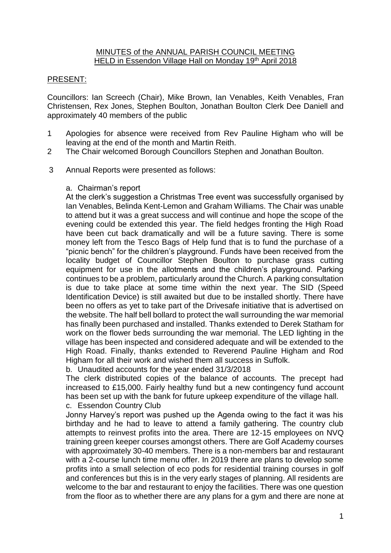## MINUTES of the ANNUAL PARISH COUNCIL MEETING HELD in Essendon Village Hall on Monday 19<sup>th</sup> April 2018

# PRESENT:

Councillors: Ian Screech (Chair), Mike Brown, Ian Venables, Keith Venables, Fran Christensen, Rex Jones, Stephen Boulton, Jonathan Boulton Clerk Dee Daniell and approximately 40 members of the public

- 1 Apologies for absence were received from Rev Pauline Higham who will be leaving at the end of the month and Martin Reith.
- 2 The Chair welcomed Borough Councillors Stephen and Jonathan Boulton.
- 3 Annual Reports were presented as follows:

## a. Chairman's report

At the clerk's suggestion a Christmas Tree event was successfully organised by Ian Venables, Belinda Kent-Lemon and Graham Williams. The Chair was unable to attend but it was a great success and will continue and hope the scope of the evening could be extended this year. The field hedges fronting the High Road have been cut back dramatically and will be a future saving. There is some money left from the Tesco Bags of Help fund that is to fund the purchase of a "picnic bench" for the children's playground. Funds have been received from the locality budget of Councillor Stephen Boulton to purchase grass cutting equipment for use in the allotments and the children's playground. Parking continues to be a problem, particularly around the Church. A parking consultation is due to take place at some time within the next year. The SID (Speed Identification Device) is still awaited but due to be installed shortly. There have been no offers as yet to take part of the Drivesafe initiative that is advertised on the website. The half bell bollard to protect the wall surrounding the war memorial has finally been purchased and installed. Thanks extended to Derek Statham for work on the flower beds surrounding the war memorial. The LED lighting in the village has been inspected and considered adequate and will be extended to the High Road. Finally, thanks extended to Reverend Pauline Higham and Rod Higham for all their work and wished them all success in Suffolk.

b. Unaudited accounts for the year ended 31/3/2018

The clerk distributed copies of the balance of accounts. The precept had increased to £15,000. Fairly healthy fund but a new contingency fund account has been set up with the bank for future upkeep expenditure of the village hall. c. Essendon Country Club

Jonny Harvey's report was pushed up the Agenda owing to the fact it was his birthday and he had to leave to attend a family gathering. The country club attempts to reinvest profits into the area. There are 12-15 employees on NVQ training green keeper courses amongst others. There are Golf Academy courses with approximately 30-40 members. There is a non-members bar and restaurant with a 2-course lunch time menu offer. In 2019 there are plans to develop some profits into a small selection of eco pods for residential training courses in golf and conferences but this is in the very early stages of planning. All residents are welcome to the bar and restaurant to enjoy the facilities. There was one question from the floor as to whether there are any plans for a gym and there are none at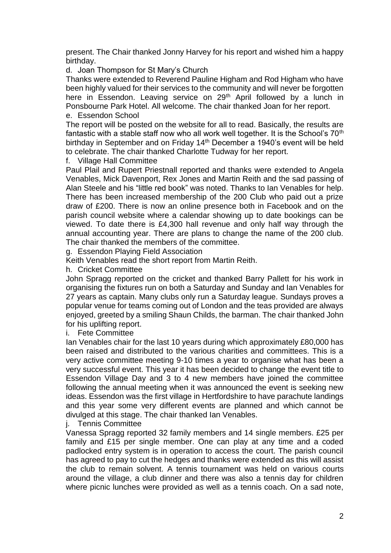present. The Chair thanked Jonny Harvey for his report and wished him a happy birthday.

d. Joan Thompson for St Mary's Church

Thanks were extended to Reverend Pauline Higham and Rod Higham who have been highly valued for their services to the community and will never be forgotten here in Essendon. Leaving service on 29<sup>th</sup> April followed by a lunch in Ponsbourne Park Hotel. All welcome. The chair thanked Joan for her report. e. Essendon School

The report will be posted on the website for all to read. Basically, the results are fantastic with a stable staff now who all work well together. It is the School's 70<sup>th</sup> birthday in September and on Friday 14th December a 1940's event will be held to celebrate. The chair thanked Charlotte Tudway for her report.

f. Village Hall Committee

Paul Plail and Rupert Priestnall reported and thanks were extended to Angela Venables, Mick Davenport, Rex Jones and Martin Reith and the sad passing of Alan Steele and his "little red book" was noted. Thanks to Ian Venables for help. There has been increased membership of the 200 Club who paid out a prize draw of £200. There is now an online presence both in Facebook and on the parish council website where a calendar showing up to date bookings can be viewed. To date there is £4,300 hall revenue and only half way through the annual accounting year. There are plans to change the name of the 200 club. The chair thanked the members of the committee.

g. Essendon Playing Field Association

Keith Venables read the short report from Martin Reith.

h. Cricket Committee

John Spragg reported on the cricket and thanked Barry Pallett for his work in organising the fixtures run on both a Saturday and Sunday and Ian Venables for 27 years as captain. Many clubs only run a Saturday league. Sundays proves a popular venue for teams coming out of London and the teas provided are always enjoyed, greeted by a smiling Shaun Childs, the barman. The chair thanked John for his uplifting report.

i. Fete Committee

Ian Venables chair for the last 10 years during which approximately £80,000 has been raised and distributed to the various charities and committees. This is a very active committee meeting 9-10 times a year to organise what has been a very successful event. This year it has been decided to change the event title to Essendon Village Day and 3 to 4 new members have joined the committee following the annual meeting when it was announced the event is seeking new ideas. Essendon was the first village in Hertfordshire to have parachute landings and this year some very different events are planned and which cannot be divulged at this stage. The chair thanked Ian Venables.

j. Tennis Committee

Vanessa Spragg reported 32 family members and 14 single members. £25 per family and £15 per single member. One can play at any time and a coded padlocked entry system is in operation to access the court. The parish council has agreed to pay to cut the hedges and thanks were extended as this will assist the club to remain solvent. A tennis tournament was held on various courts around the village, a club dinner and there was also a tennis day for children where picnic lunches were provided as well as a tennis coach. On a sad note,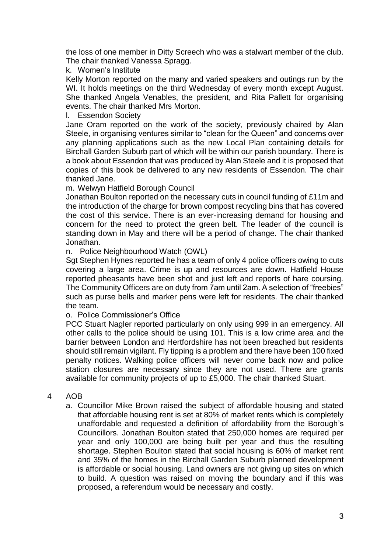the loss of one member in Ditty Screech who was a stalwart member of the club. The chair thanked Vanessa Spragg.

## k. Women's Institute

Kelly Morton reported on the many and varied speakers and outings run by the WI. It holds meetings on the third Wednesday of every month except August. She thanked Angela Venables, the president, and Rita Pallett for organising events. The chair thanked Mrs Morton.

### l. Essendon Society

Jane Oram reported on the work of the society, previously chaired by Alan Steele, in organising ventures similar to "clean for the Queen" and concerns over any planning applications such as the new Local Plan containing details for Birchall Garden Suburb part of which will be within our parish boundary. There is a book about Essendon that was produced by Alan Steele and it is proposed that copies of this book be delivered to any new residents of Essendon. The chair thanked Jane.

m. Welwyn Hatfield Borough Council

Jonathan Boulton reported on the necessary cuts in council funding of £11m and the introduction of the charge for brown compost recycling bins that has covered the cost of this service. There is an ever-increasing demand for housing and concern for the need to protect the green belt. The leader of the council is standing down in May and there will be a period of change. The chair thanked Jonathan.

n. Police Neighbourhood Watch (OWL)

Sgt Stephen Hynes reported he has a team of only 4 police officers owing to cuts covering a large area. Crime is up and resources are down. Hatfield House reported pheasants have been shot and just left and reports of hare coursing. The Community Officers are on duty from 7am until 2am. A selection of "freebies" such as purse bells and marker pens were left for residents. The chair thanked the team.

o. Police Commissioner's Office

PCC Stuart Nagler reported particularly on only using 999 in an emergency. All other calls to the police should be using 101. This is a low crime area and the barrier between London and Hertfordshire has not been breached but residents should still remain vigilant. Fly tipping is a problem and there have been 100 fixed penalty notices. Walking police officers will never come back now and police station closures are necessary since they are not used. There are grants available for community projects of up to £5,000. The chair thanked Stuart.

## 4 AOB

a. Councillor Mike Brown raised the subject of affordable housing and stated that affordable housing rent is set at 80% of market rents which is completely unaffordable and requested a definition of affordability from the Borough's Councillors. Jonathan Boulton stated that 250,000 homes are required per year and only 100,000 are being built per year and thus the resulting shortage. Stephen Boulton stated that social housing is 60% of market rent and 35% of the homes in the Birchall Garden Suburb planned development is affordable or social housing. Land owners are not giving up sites on which to build. A question was raised on moving the boundary and if this was proposed, a referendum would be necessary and costly.